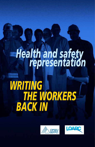# *Health and safety representation*

# *WRITING THE WORKERS BACK IN*



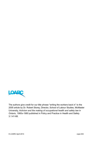

The authors give credit for our title phrase "writing the workers back in" to the 2005 article by Dr. Robert Storey, Director, School of Labour Studies, McMaster University, *Activism and the making of occupational health and safety law in Ontario, 1960s-1980* published in Policy and Practice in Health and Safety 3.1:41-68.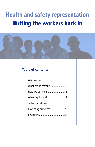# Health and safety representation Writing the workers back in



#### Table of contents

| Telling our stories  13  |
|--------------------------|
| Protecting ourselves  25 |
|                          |
|                          |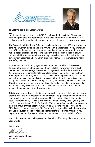



To OPSEU's Health and Safety Activists:

*T*his book is dedicated to all of OPSEU's health and safety activists. Thank you for finding the time, the determination, and the dedication to stand up to all the challenges and forging the path towards better health and safety in your workplaces.

The Occupational Health and Safety Act has been the law since 1979. It was won in a time when workers stood up and said, "Our health is not for sale." A key event was the 1974, uranium miners strike, launched over health and safety conditions when miners began to recognize and sound the alarm over the high incidence of lung cancer and silicosis among their membership. It was because of that strike that the government appointed a Royal Commission led by James Ham to investigate health and safety in mines.

Another review was done by a government appointed panel led by Tony Dean following the 2009 Christmas Eve tragedy which killed four workers and critically injured one. The swing stage they were working on collapsed and the workers fell 13 stories in Toronto's most terrible workplace tragedy in decades. Since the Dean Panel report was released, there have been some minor improvements in health and safety, but no major changes. Existing laws are still weak for the hazards we face today—musculoskeletal injuries, workplace stress, and working alone to name a few. Therefore, your actions and involvement is really the key to making improvements. Health and safety will never be delivered to us. Today is the same as the past 100 years, nothing happens without worker action.

This booklet offers advice on the types of approaches that can help health and safety activists make the most impact in their workplaces. The guidance is based on research and experience of activists and was prepared by occupational health and safety specialists from unions, academia, the Workers Health & Safety Centre (WHSC), and the Occupational Health Clinics for Ontario Workers (OHCOW). Social science research by a core group of these experts revealed "Ten Operating Principles for Guiding Effective Participation" (see page 24). The following pages will explain the principles and use the success stories of health and safety activists to demonstrate how you might be able to apply these principles in your own workplaces to similar effect.

Your union is committed to help—we are pleased to offer this guide to assist you in your efforts.

Yours Truly

Warren (Smokey) Thomas President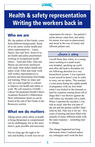

# Health & safety representation Writing the workers back in

#### Who we are

We, the authors of this Guide, come from different backgrounds. Some of us are union worker health and safety representatives – Laura, Nancy, Sari and Terri. Some of us are health and safety practitioners working in occupational health clinics – Syed and John. Alan and Wayne are university professors who study what makes health and safety work. Ellen and Andy work with worker representatives to promote and disseminate knowledge and training. What we share and why we came together is a desire to improve our health and safety at work. We call ourselves LOARC – Labour Occupational Health Clinics Academic Research Collaboration. More information about us can be found at the end of this Guide in the Resources section.

#### What we do matters

Taking action when safety or health is being threatened or compromised can be challenging, but as this story shows, quite possible and necessary.

Not too long ago the right to be safe and healthy at work was not an expectation for nurses – the patient's needs always came first, and safety for nurses was seen as unnecessary and stood in the way of timely and efficient patient care.

#### *Laura's story*

I recall those days when, as a young nurse working at a small acutecare hospital, speaking up could and often did lead to discipline for not following direction in a very hierarchical system. I was expected to put myself in harm's way in order to carry out my duties. This reached a crisis point during the eighth month of pregnancy with my first child when I was kicked in the stomach so hard by a patient coming down off of drugs that I was thrown against the wall where my shoulder left a mark. When I reported the incident, I was told as usual, that this was part of the job and the patient couldn't help what he did. That was it for me – five years of nursing had been filled with assaults of many different kinds with the same response – something had to change.

The change happened not long afterwards when I realized unless my colleagues and I took the first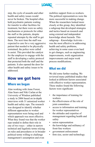

step, the cycle of assaults and other health and safety issues would never be broken. The hospital often held psychiatric patients waiting for transfer to other facilities for treatment, but there were no safety mechanisms or protocols for either the staff or the patients, despite repeated attempts by the staff to get them. The next time the staff was expected to care for a very aggressive patient that needed to be physically restrained, the police were called to assist. This provided the catalyst for the employer to engage with the staff in developing a safety protocol that protected both the staff and the patients. It also opened the door for other health and safety issues to be addressed.

#### How we got here

#### Where we began

Alan working with Anne Forest, Alan Sears and Niki Carlan at the University of Windsor published a study in 2006 based on in-depth interviews with 31 unionized worker health and safety reps. The research was designed to identify whether different approaches to worker representation were being used and which approach was most effective. What they found was that the worker reps tended to define their role in one of two ways – either in narrow technical and legalistic terms relying on rules and procedures or in broader political terms willing to challenge management's assumption and even

mobilize support from co-workers. The political representatives were the more successful in making change. When the researchers looked more closely at this group, they identified a subgroup that developed strategies and tactics based on research and using external and independent knowledge about hazards. This subgroup – Knowledge Activists – was the most effective in addressing health and safety problems, achieving in some cases even hard to get changes, such as engineering improvements, work organization improvements and major work process modifications.

#### What we did

We did some further reading. We reviewed many published studies that looked at different factors associated with effective worker representation. These studies found the following factors were significant:

- the importance of training for workers
- the effectiveness of the role of joint committees
- access to information and training for worker representatives
- the attitudes and expertise of management regarding health and safety
- union representation
- the knowledge and militancy of front-line workers
- government enforcement
- firm size, sector and technology.
- 6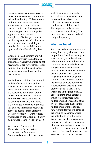

Research suggested unions have an impact on management commitment to health and safety. Without unions, differences between employers and workers are almost always resolved in favour of management. Unions support more participative approaches. In a non-union workplace, effective government monitoring, support and enforcement are critical to workers' ability to exercise their responsibilities and rights under health and safety law.

Workers in small business and subcontracted workers face additional challenges, whether unionized or not, because there are fewer resources for training, a lack of time and capital to make changes and less flexible management.

We decided to build on this research in light of economic and political changes, which were making worker representation more challenging. We decided to ask a larger group of worker occupational health and safety (OHS) representatives and do detailed interviews with some. We would use the results to produce this guide to inform and encourage people to become more effective OHS representatives. Our proposal was funded by the Workplace Safety & Insurance Board (WSIB) in 2010.

We conducted a survey of 888 worker health and safety representatives from across Ontario and did detailed interviews with 52 who were randomly selected based on whether they described themselves to be active and successful, active and less successful, or inactive. The responses to the survey were analyzed statistically. The interviews were transcribed and analyzed separately.

#### What we found

We organized the responses to the survey into categories based on the proportion of the time participants spent on ten typical health and safety rep functions. John used a statistical analysis called cluster analysis to analyze possible relationships which revealed three distinct groups. The Technical-Legal and the Knowledge Activist styles of representation found in the prior study were confirmed. However, there was no distinct group of political activists as was found in the prior study. A different third group emerged which fell somewhere in the middle ground between the other two groups. Since many in this middle group were relatively new representatives, we describe the group as transitional, with the potential to go either way. We suspect the disappearance of political activists and appearance of many in transition is in part the result of larger economic and social changes. The need to strengthen our knowledge activism seems clear.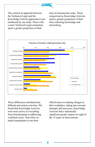

The contrast in approach between the Technical-Legal and the Knowledge Activist approaches were reinforced by our study. Those with a more Technical-Legal orientation spent a greater proportion of their

time on bureaucratic tasks. Those categorized as Knowledge Activists spent a greater proportion of their time collecting knowledge and networking.



These differences translated into different prevention activities. We found that Knowledge Activists were more active in everything from housekeeping to addressing workload issues. And when we asked respondents to rate their

effectiveness in making changes at their workplace, taking into account attempts and successes, Knowledge Activists had a statistically significant greater impact on eight of the 12 types of interventions.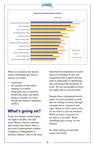

When we looked at the factors which contributed the most to success we found:

- experience
- the amount of time spent training co-workers
- being paid time to perform health and safety rep duties
- being a co-chair of a Joint Health and Safety Committee (JHSC).

### What's going on?

Today few people would dispute our right to healthy and safe work. When a factory explodes and workers are killed, there is universal condemnation whether it happens in Bangladesh or northern Ontario. One of the most important developments in recent times to contribute to this was recognition that workers had the right to participate in identifying and correcting OHS problems at work. We are encouraged to know our rights and to exercise them.

Despite these widespread beliefs, many of us face hazards at work that are killing us slowly through constant strain, exposures and risks. When we ask to know why, we are told it is not our business. When we raise a concern, we are told it is our fault. When something goes wrong, we are blamed.

So what's going on and what needs to be done?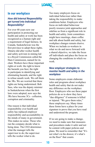

#### In our workplace

#### *How did Internal Responsibility get turned into Individual Responsibility?*

For over 40 years now our participation in protecting our health and safety at work has been recognized as a human right and a requirement of legal fairness. In Canada, Saskatchewan was the first province to adopt these rights. Ontario did after worker health and safety activism in mining led to a Royal Commission called the Ham Commission, named for its chair. Workers have these important rights at work: the right to know the hazards you face; the right to participate in identifying and eliminating hazards; and the right to refuse unsafe work. We call them the 3Rs. We are worried that these rights are being undermined. Bob Sass, who was the deputy minister in Saskatchewan when the first laws were adopted, now says the 3Rs have become 3Cs - collusion, corruption and criminality.

One reason is that individual responsibility over health and safety has replaced employer responsibility and accountability in the minds of many in government. This makes no sense. Those who run the company decide what is being done. The CEO determines what the manager tells the supervisor to do; the supervisor tells the worker what to do.

Too many employers focus on individual behaviour rather than taking the responsibility to make conditions better. Employers who focus on individual behaviour poorly resource joint approaches and sideline us from a significant role in health and safety. Joint committees might have meetings, share coffee and talk about health and safety, but workplace changes remain elusive. When we include co-workers in what we do and move forward with a shared objective, we take the focus off individuals and place the focus on changing the conditions in which we work.

#### *New employer strategies to monitor health and safety in the workplace*

Some employers create elaborate rules and programs about workplace health and safety that do not make any difference on the workplace floor. Employers who use these paper policies do so to show they have "due diligence" if someone is killed or injured. "We gave them rules," these employers say. Many times these forms have a place for your signature to prove that you have read and understood the program.

If we are going to make a change, we need to make sure that measures and procedures make it safer and not be content with paper policies and plans. We need to remember that "It's not what's in the drawer, it's what's on the floor" that counts.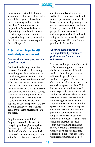

Some employers think that more surveillance will manage their health and safety programs. Surveillance means watching us, looking for mistakes. As if our mistakes are the problem. What is the benefit of providing rewards to those who report no injuries when in truth people simply go underground with their injuries so as not to disappoint their colleagues?

#### External and legal health and safety environment

#### *Our health and safety is part of a globalized world*

Our health and safety cannot be separated from what is happening to working people elsewhere in the world. The global drive for profits has a direct impact on the amount of effort we are expected to make every working day. The fear of losing our job undermines our courage to assert our health and safety rights. Seeking health and safety improvements is hampered by cost. Deciding what is safe and healthy, we are told, depends on your perspective. We are also told employers' and workers' goals are the same regarding health and safety.

Stop for a moment and think. Employers consider the cost of everything and weigh that against the severity of risks and injuries, likelihood of enforcement, and what other workplaces are doing, to name a few factors. We are concerned

about our minds and bodies as well as the paycheque. Health and safety representatives who see this broad picture can adopt strategies to operate more successfully within it. These reps understand that differing perspectives between workers and management about health and safety are the norm. Workers and managers have different roles and priorities in the workplace.

#### *Ontario's system relies on self-regulation by workplace parties rather than laws and enforcement*

The laws and inspector enforcement in Ontario are supposed to ensure the health and safety of Ontario workers. In reality, government relies on the people in the workplace to govern themselves. Government enforcement intervenes only when a problem arises. This hands-off approach doesn't work today, especially in non-unionized workplaces where workers have few resources to take part. Work and work arrangements are changing a lot, making workers more afraid to speak out about unsafe workplace conditions. Work is increasingly part-time, contract, short-term, temporary and casual, such that workers do not feel safe and secure enough in their jobs to speak out about workplace health and safety. Workload is increasing so workers have less and less time to address their concerns. Precarious work arrangements and lack of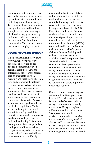

unionization mute our voices in a system that assumes we can speak up and take action without fear in protecting our health and safety. To overcome these vulnerabilities, our fight for safer and healthier workplaces has to be seen as part of a broader struggle to stand up for human health and decency, the survival of our families and communities. There is more to our lives than our employer's profit.

#### *Old laws require new strategies*

When our health and safety laws were written, work was very different. There were no cell phones, no internet, not even personal computers. Law and enforcement reflect work hazards such as chemicals, physical materials and machinery. These old laws and enforcement strategies have not been effective in helping today's worker representatives approach problems such as stress, overload, violence, harassment and musculoskeletal hazards, to name a few. Knowledge Activists should not be stopped by old laws or a lack of regulations. We have successfully applied the health and safety laws' general duty provisions that mandate employers to take reasonable precautions for health and safety. This means that representatives can push their employers to relieve workloads, reorganize work, reduce sources of organizational stress and address other hazards not specifically

mentioned in health and safety law and regulations. Representatives need to choose their strategies carefully, knowing that the law is conservative and read narrowly by inspectors. Tools like the MSD Prevention Guideline in Ontario can be used by representatives to obtain workplace improvements that reduce the incidence of musculoskeletal disorders (MSDs), not mentioned in the law, but that make up almost half of reported claims in Ontario. Training and technical resources are also available to worker representatives. We need to rebuild worker support and develop collective strategies to achieve health and safety improvements. If we have a union, we bargain health and safety provisions into our collective bargaining agreements. We need to network with others to promote knowledge activism.

Our law requires every workplace with more than 20 employees to have a JHSC, where at least half is composed of worker health and safety representatives chosen by the workers. Every workplace with more than five and less than 20 employees should have a worker representative chosen by the workers. Our survey reached almost 1,000 worker reps. We want to reach many more of you to share our experiences and why we think Knowledge Activists are successful.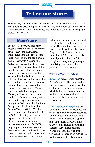

## Telling our stories

The best way we know to share our experiences is to share our stories. These are authentic stories of representatives' efforts, drawn from our interviews and from our research. Only some names and minor details have been changed to protect confidentiality.

#### *Walter's story*

In July 1997 over 200 firefighters fought a three-day fire at a Hamilton plastics recycling plant. Black smoke forced the evacuation of the neighbourhood and formed a smoke trail all the way to Niagara Falls. Walter was the health and safety rep for Local 188. Concerned about the long-term effects of plastic fumes exposure on his members, Walter visited all the fire halls involved and collected the stories of the firefighters who had fought the fire, meticulously documenting descriptions of their exposures and symptoms. Walter also collected all news reports, Ministry of Environment reports and looked for studies about plastics fires and the experience of other firefighters. Walter and the Hamilton Occupational Health Clinics for Ontario Workers (OHCOW) clinic then devised a questionnaire based on Walter's list of symptoms and exposure situations. Working with his local union executive, the international union and OHCOW, they proposed a program to monitor firefighter exposure and health. It was a long process but Walter persevered even when some of his co-workers

lost heart in the effort. He continued to lobby city councillors until the City of Hamilton finally accepted the Occupational Health and Exposure Program (OHEP), which began its work in 1999. Annual medicals are still provided for over 500 firefighters, along with group reports identifying trends and making prevention recommendations.

#### **What did Walter teach us?**

*Research:* Research was pivotal to Walter's success. He demonstrated that there was a legitimate basis for establishing a monitoring system, which had implications not only for workers' compensation but also for improvements in the way plastics fires are addressed.

*More than just meetings:* Walter worked with his union executive and the occupational physician associated with the international union and the medical and occupational hygiene folks at the local OHCOW clinic to develop the annual medical and exposure surveillance program. Walter understood as well that for this issue he needed to go outside the workplace to lobby city council.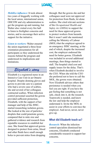

*Mobilize influence:* It took almost two years of doggedly working with the local union, international union, OHCOW and city administration to get the program up and running, but Walter also visited every fire hall to listen to firefighter concerns and stories, and to encourage their active support for the initiative.

*Listen to workers:* Walter ensured the union negotiated a three-hour orientation presentation for all participants so they understood the reasons behind the program and understood its implications and limitations.

#### *Elizabeth's story*

Elizabeth is a registered nurse in an Intensive Care Unit in an Ontario hospital. Despite donning gloves and gowns to provide care to a patient who had a severe case of scabies, she and several of her colleagues contracted scabies. When infection control personnel asserted the gowns provided sufficient protection, Elizabeth, with the support of her manager and help of the JHSC, started researching isolation gowns. She looked at the size of particles/ droplets that could penetrate gowns, compared that to mite size and gathered evidence and research from reputable resources to establish her case. She found that approved gowns designed to protect from urine, blood and other fluids have small enough holes to prevent mites from dropping

through. But the gowns she and her colleagues used were not approved for protection from fluids, let alone scabies. She cited relevant sections of the *Occupational Health and Safety Act (OHSA)* to support the need for these approved gowns to protect workers from hazards. But it wasn't until she mentioned calling the Ministry of Labour (MOL) that the employer agreed to an emergency JHSC meeting, at the end of which, despite the increased cost, the employer endorsed the need for better gowns. Elizabeth was included in several additional meetings, then things started to stall. The hospital cited cost and supply issues for the delay. That's when Elizabeth decided to involve the CEO. When she told the CEO she preferred not to have to call the MOL, the gowns were obtained. Now Elizabeth advises others that persistence is needed when you feel you are right. If you have the gut feeling that something is not safe, check into it, do the research. Teamwork is needed, and know the law and help the employer understand it. Invite the MOL to assist in your efforts to convince the employer. And never, never, never give up.

#### **What did Elizabeth teach us?**

*Research:* When the infection control specialists dismissed her concerns, Elizabeth conducted considerable research to support her concerns.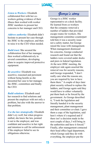

*Listen to Workers:* Elizabeth collaborated first with her coworkers getting evidence of their illness then worked with worker JHSC members to present her concerns to her manager and CEO.

*Address authority:* Elizabeth didn't hesitate to present her case through the JHSC to the employer, and then to raise it to the CEO when needed.

*Build trust:* She secured the collaboration first of her manager, then worked collaboratively in several committees, developing plans to acquire improved protective equipment.

*Be assertive:* Elizabeth was assertive, reasoned and persistent without being hostile as she presented her case to her manager, the JHSC, committees and finally the CEO.

*Build solutions:* Elizabeth used her research to find solutions and present the employer with not only a problem, but also with the answer to that problem.

*Use the law strategically:* Elizabeth didn't cry wolf, but when progress stalled, she knew the law, pointed it out to the employer, and was confident and assertive in her right and intention to call for enforcement if the employer failed to see its obligations otherwise.

#### *George's story*

George is a JHSC worker representative at a dock facility. He learned from co-workers that the company removed a number of ladders that provided escape routes for workers. His management committee counterpart told him it was a security issue not a safety matter, but George raised the issue with management. When management dismissed his concerns, George conducted research and found out that the ladders were covered under docks and piers in federal legislation. At the next JHSC meeting, the employer side again asserted the removal was for security reasons, and George responded, "I don't really care what the reasons are, you are required by law to have them there." A couple of days later plant security refused to replace the ladders, and George again said they would have to either voluntarily put them back or be forced by the government. As George described it, "I took the legislation and literally handed it to the security management, plant management and their committee co-chair. I gave them a copy of the legislation, said here's where it's required and if there isn't a decision made in the next couple of days, I will bring in the authorities and have it forced." Finally, after management contacted their head office legal department, which George said they do with everything, the employer put the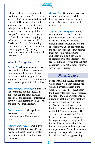

ladders back on. George stressed that throughout he kept "a cool head, stayed calm" and was methodical and consistent. He also noted, as in this situation, that a representative has to be persistent, because "no for an answer is one of the biggest things that you'll hear all the time. No, we can't do that, no that's not going to happen, no that's not possible." Persistence, he said, "and staying current with research and education, educating yourself [is] vitally important, that's the only way you'll have success."

#### **What did George teach us?**

*Research:* When management tried to define the problem as a security rather than a safety issue, George did research to find support for his argument and discovered that it was a safety issue regulated in federal law.

*More than just meetings:* In this case the committee did not address his concerns. He understood he had to act outside the committee interacting directly with different levels of local and corporate management.

*Listen to workers:* George listened to co-workers' concerns and communicated with them at every step.

*Address authority:* George didn't hesitate to present his case to the manager, the JHSC, and ultimately the senior executives in the parent company.

*Be assertive:* George was assertive, reasoned and persistent while keeping his cool through the process in the JHSC and in dealing with management.

*Use the law strategically:* While George normally deals with the provincial legislation, this section of his workplace was covered under different federal law relating specifically to docks. He consulted the relevant sections of law, pointed them out to his management audiences and didn't hesitate to suggest reporting the incident to the federal authorities when management continued to insist the ladder removal was a security issue.

#### *Pierre's story*

Pierre works in a service operation where there was a very serious fire with five critical injuries in the workplace. The JHSC investigated but Pierre noted they hadn't received the proper training or experience to initiate critical injury investigations in the workplace. As Pierre put it, "We did our best based on our limited resources and the employer really didn't want us to do it." He said there was considerable "push back" on the worker investigators. Management kept refusing to allow time or financial support but they finished and presented the report to more push back. Pierre characterized management as poorly educated in health and safety, approaching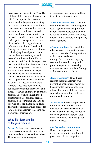

every issue according to the "five Ds – deflect, defer, distract, dissuade and deter." The representatives realized they needed to keep communicating their concerns to management, their co-workers and even workers outside the company. But Pierre realized they needed more substantiation and the workers realized they needed to challenge the management version of events by collecting their own information. As Pierre described it, "management went and did their own critical injury investigation prior to our involvement and they came back to our Committee and provided a report and said, 'this is the report.' We read through it and realized they didn't interview one person at the scene and there were 50 there or maybe 100. They never interviewed one person." So Pierre and his colleagues took it upon themselves to interview 50 witnesses, most of whom were workers. They researched how to conduct investigation interviews and closely followed an industry-approved process. The worker investigation substantiated a continuous breach of process, lack of training and lack of knowledge at the management level. The worker representatives succeeded in forcing management to accept key elements of their report.

#### **What did Pierre and his colleagues teach us?**

*Research:* Pierre and his colleagues had received inadequate training so they trained and educated themselves. They learned how to do proper

investigative interviewing and how to write an effective report.

*More than just meetings:* The joint committee was not functioning and was largely a bottleneck point for action. Pierre understood they had to act outside the committee, going directly to the workers to help verify their arguments.

*Listen to workers:* Pierre and the other worker representatives gave voice to co-workers' interpretations and concerns and ensured through their report and ongoing communications that they built political support for pressuring management to accept their findings and to take action on them.

*Address authority:* Once Pierre realized that management was preventing change from occurring, he confronted them by collecting information and mobilizing worker support to counter the employer's questionable findings.

*Be assertive:* Pierre was persistent despite what he felt was strong management resistance and push back. In particular, they did not let the management roadblocks stop them from doing the investigation that was needed.

#### *Use inspections and minutes:*

Beware management's efforts to use the committee and formal procedures like investigations to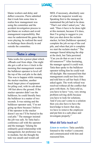

blame workers and delay and deflect concerns. Pierre admitted that it took him some time to realize how management was using the committee and the accident investigation process to pin blame on workers and avoid management responsibility. But once he understood the game they were playing, he realized the need to challenge them directly in and outside the committee.

#### *Tatia's story*

Tatia works for a power plant which offloads coal from ships. One night she got a call at two o'clock in the morning that management wanted the bulldozer operator to level off the top of the coal pile in the dark. This was to happen while running the stacker machine, another much larger piece of equipment for piling coal, with its cab about 140 feet above the ground. If the stacker operator didn't see the bulldozer, he could literally bury the bulldozer in a matter of two seconds. It was raining and the bulldozer operator said, "I'm not going up there because I believe if the operator in the stacker doesn't see me I'll be buried in the coal pile." The manager insisted the job was safe. So Tatia had a conference call with the operator and the manager. Valuing the ordinarily good relationship with management, her preference was to mediate, but she thought the task was unsafe and would call

MOL if necessary, absolutely sure of what the inspector would say. Speaking first to the manager, he maintained the job had to be done. "That's not what I asked you," she said. "Does it have to be done right at this moment, because if it does, then I'm going to suggest to you that you shut down the reclaim stacker, let him [bulldozer operator] complete the job on top of the coal pile, and when that job is complete we start the reclaim stacker." The manager feared delaying the ship at the dock, but Tatia persisted. "Can you do that or can it wait till tomorrow?" After hesitating, the manager agreed it could wait. Tatia then spoke to the bulldozer operator telling him he could wait till daylight. She reassured him that management could not force him and told him to call her back if they asked again. The work refusal was resolved without all the conflict that goes with them. As Tatia told us, you have to have "very, very strong problem-solving skills because you have to look for solutions. And if you can't come to a solution then you also have to have the knowledge to know that okay, we have to remove the employee and put him in a safe place and investigate properly."

#### **What did Tatia teach us?**

*Listen to workers:* Tatia carefully listened to the worker's concerns and communicated with him and reassured him.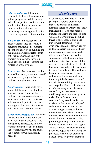

*Address authority:* Tatia didn't hesitate to deal with the manager to get his perspective. While sticking to her basic position that the worker would not be doing the job under these conditions, she was not threatening, instead approaching the issue as a negotiation of a resolution.

*Build trust:* Tatia recognized the broader significance of seeking a mediated or negotiated settlement of conflicts as a way of building and maintaining a working relationship with management and trust with workers, while always having in mind her bottom line regarding the protection of the worker.

*Be assertive:* Tatia was assertive but also well reasoned, presenting herself as a mediator trying to solve the problem through discussion.

*Build solutions:* Tatia could have simply let the work refusal follow a formal course. Knowing the problems this can create, she saw it as her role to find a more effective solution, which protected the worker and supported her capacity to work with management on other issues.

*Use the law strategically:* Tatia knew the law and how to use it, but she also knew to use it selectively and strategically as necessary. If there was an option where she could find the solution on her own, she saved the big stick for when she really needs it.

#### *Lucy's story*

Lucy is a registered practical nurse (RPN) in a nursing organization that visits patients in different locations across an Ontario city. New managers increased each nurse's number of patients and reduced time with each to 30 minutes, including travel time. Managers also made nurses work faster and forced overtime, but did not always pay for it. The managers implemented new procedures, increased paperwork, altered nurses' time sheets after submission, bullied nurses to take additional patients at the end of the day, increased shifts from 7 ½ to 11 hours and responded with discipline to nurses' complaints. The workplace became toxic with absenteeism and increased turnover, and some trainees quit before completion of the orientation training. Nurses were encouraged to blame each other and to inform management of co-worker errors. Lucy's co-workers were afraid to speak up and management resisted her efforts to discuss concerns. Lucy convinced her coworkers of the value and safety of collective action and worked out a three-pronged strategy with her union. First, 46 workers signed an omnibus harassment complaint under the employer's harassment policy, prompting the employer to engage an outside consultant to investigate. All the workers also signed a group grievance objecting to the workplace practices. Finally Lucy organized a local survey to give the members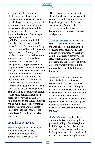

an opportunity to participate in identifying a way forward and to have an anonymous way to express their feelings. The survey data would also provide information to support the harassment complaint and the grievance. Over 80 per cent of the workers filled out the Copenhagen Psychosocial Questionnaire (COPSOQ), which identified the workplace factors most related to the workers' health symptoms. Lucy convened two well-attended sessions to present survey findings and involve the workers in brainstorming a way forward. JHSC members presented the survey results to management, and pointed out that despite the negative results in many areas, the survey showed the extreme commitment and dedication of the nurses, which was a starting place for moving forward. A number of changes ensued. Groups of nurses were assigned geographic areas and hours were reduced. Management set a goal of no overtime and agreed to hire more nurses. Management agreed to work with the JHSC to find good health and safety solutions and to build a respectful workplace culture. A couple of months later, Lucy described the change in the workplace: "Even the air is better here now"

#### **What did Lucy teach us?**

*Mobilize influence:* Lucy created a plan where workers acted collectively on a few activities pointed at the same goal. The

JHSC played a role, but did not stand alone because the harassment complaint and the group grievance helped support the JHSC's work to seek changes. Acting collectively was effective and can work in both unionized and non-unionized workplaces.

*Listen to workers:* Lucy used the survey to provide an outlet for the workers to communicate their concerns anonymously, and then planned two meetings so that they could collectively brainstorm next steps together and be part of the process to change things. Therefore, all of the workers invested in the process that ultimately did make things better.

*Build trust:* Lucy was concerned about the lack of involvement, retreat and fear of her colleagues and had a burning desire to repair the relationship damage that the new work practices were doing to people. Lucy worked with the union to develop strategies that she and other representatives led in the workplace that made sure to involve other workers and the worker members of the IHSC.

*Build solutions:* Lucy kept her focus on the issues and away from personal feelings. Even though she had felt targeted, Lucy focused on the desired outcome rather than on looking backwards. She coordinated the three processes through various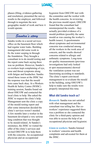

phases (filing, evidence-gathering and resolution), presented the survey results to the employer, and followed through to negotiate the new geographic model of work and how it would operate.

#### *Sandra's story*

Sandra works in a social services office on the basement floor which had regular water leaks. Building management did some work to fix the water seeping in through the foundation. They brought a consultant in to do mould testing and the report came back saying there was no problem. However, Sandra's co-workers kept complaining of eye, nose and throat symptoms along with fatigue and headaches. Sandra raised these issues at the JHSC but the response was that the mould tests came back okay. At a Workers Health & Safety Centre (WHSC) training session, Sandra found out about OHCOW and contacted the local clinic to help. She asked the JHSC to request the clinic's help. Management sent the clinic a copy of the mould testing report and after some interaction decided the clinic's services weren't needed. A few months later a worker in the basement developed a very serious lung condition that was thought to be mould-related. At Sandra's insistence, the JHSC re-visited the offer of the clinic's services and invited OHCOW in to help them with the concerns. An occupational physician and an occupational

hygienist from OHCOW met with the committee and the worker with the health concerns. In reviewing the previous mould report, OHCOW found that the consultant had misinterpreted the results – they actually provided evidence of a mould problem (possibly the same mould as was causing the worker's health issues). A questionnaire about symptoms and environmental concerns was conducted among all the workers in the work area of concern, and the results showed concerns related to allergic and asthmatic symptoms. Long-term air quality measurements (previous investigations had only looked at spot measurements) showed the ventilation system was not functioning according to standards. The clinic's report convinced management to re-evaluate the mould in the building, using OHCOW's help to make sure the results were properly interpreted this time.

#### **What did Sandra teach us?**

*Research:* Sandra was not satisfied with what management and the consultant was telling her. Her coworkers' experience suggested there was a problem so she contacted the clinic for a third-party opinion and was able to access the help of an occupational physician and hygienist.

*Listen to workers:* Sandra listened to workers' concerns and health complaints and advocated for them at the JHSC.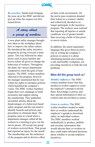

*Be assertive:* Sandra kept bringing the issue up at the JHSC and did not give up when the request was first turned down.

*A story about a group of workers*

A new plant safety manager brought new ideas to the workplace about how to improve the safety culture. He introduced the safety incentive program by giving everyone a team jacket. This was followed by other prizes such as pizza lunches and movie tickets all given to change the behaviour of workers. Throughout the plant, the various departments competed to reach the goal of least injuries. The JHSC worker members objected to the program, however the manager maintained that he was within his rights to introduce policies which benefited the company's vision. The JHSC worker members began their own campaign to build awareness and support among the membership. They published newsletter articles about the disadvantages of a behaviour-based safety program and the real need to identify hazards and policies and procedures to eliminate them. The program came to a head when a department manager called all the workers to a meeting to give out the movie passes. All except one group of workers received them. That group had reported an injury for the month. The membership saw the unfairness of the program and its divisive effect

on their work environment. All the movie pass recipients donated their tickets to a women's shelter and collectively decided to no longer participate in the incentive program. The workers soon realized that reporting all injuries or unsafe conditions was of greater benefit than receiving a bribe of free pizza or movie tickets.

In addition, the union negotiated language that gives them an active role in writing the company's policies to ensure it is about eliminating hazards and creating a safe and healthy workplace, not providing incentives to hide the real problems.

#### **What did this group teach us?**

*Mobilize influence:* The JHSC worker members knew that they needed co-worker support to resist the employer's attempt to divide them. Knowledge is power, and they spread information to their coworkers that moved them to action

*Listen to workers:* The JHSC worker members needed to make their co-workers understand the employer's agenda to download safety on individual workers. The JHSC members worked methodically to produce, publish and circulate information that would educate their co-workers so they could make informed decisions about whether to accept employer incentives.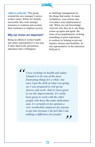

*Address authority:* This group resisted the new manager's tactics at their outset. While not initially successful, they took strategic measures to continue and escalate their resistance to employer power.

#### **Why our stories are important?**

Being an effective worker health and safety representative is not easy. It takes hard work, persistence, education and a willingness

to challenge management on the things that matter. In many workplaces, your actions may even place your employment at risk. When you ask Knowledge Activists why they do it, one thing comes up again and again: the sense of accomplishment, of doing something of great importance to workers by helping to prevent injuries, disease and disability. As one representative in the education field put it:

 $\frac{1}{2}$ *I love working on health and safety. I found it to be one of the most frustrating things for a while, but once I got the drift of what was going on, I was prepared to roll up my sleeves and work. And it's been great to see the improvements. It's really been great to work with the other people who have the same dedication and, it's certainly in my opinion a very worthwhile endeavor for anyone to get into because I do feel like I am making a difference for people.*

*"*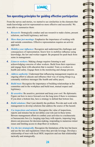

#### Ten operating principles for guiding effective participation

From the survey and stories, we started to see similarities in the elements that made knowledge activist representatives more effective and successful. We were able to summarize them:

- *1. Research:* Strategically conduct and use research to make claims, present solutions, and build legitimacy and trust.
- *2. More than just meetings:* Emphasize the importance of working with and outside committees. Effective representation requires an activist approach.
- *3. Mobilize your influence:* Recognize and understand the challenges and consequences of representation. Know how to mobilize influence using knowledge, the law and worker support. Be prepared for push back from some in management.
- *4. Listen to workers:* Making change requires listening to and acknowledging concerns of other workers. Build from their experience and engage them with education that is needed. Train co-workers in health and safety. Engage them in the monitoring and change process.
- *5. Address authority:* Understand that influencing management requires an ongoing effort to educate and influence their way of seeing things (e.g. constantly reinforce messages like health and safety pays).
- *6. Build trust:* Recognize the importance of building relationships in the committee and in the workplace and build trust, mutual respect and legitimacy.
- *7. Be assertive:* Be assertive, persistent and keep your cool. Be diplomatic. Figure out how to move forward over the long term if there is resistance. If you draw a bottom line, have a strategy to defend that bottom line.

m

m

- *8. Build solutions:* Don't just identify the problem. Provide and work with management to develop solutions that address the source of the hazard.
- *9. Use inspections and minutes:* Recognize the value of inspections, reports and minutes but do not define your role just in these terms. Beware management efforts to confine your activities to a technocratic or bureaucratic box (i.e. keeping reps busy with reports, imposing long drawn out processes for decision-making, responding to numerous minor issues and limiting access to shop-floor or workers).
- *10. Use the law strategically:* Recognize the limitations of the law but know and use the law and regulations where they provide leverage. Develop a relationship of trust with local MOL inspectors and use that relationship tactically and strategically.

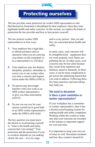

## Protecting ourselves

The law provides some protection for worker OHS representatives who find themselves frustrated or disciplined by their employer when they raise legitimate health and safety concerns. In this section, we explore the kinds of protection the law provides and how to best protect yourself.

The law protects worker OHS representatives in four ways:

- **1.** Your employer has a legal duty to afford assistance and cooperation when you are carrying your duties on the committee or as a representative (s  $25(2)(e)$ ).
- *2.* Your employer may not dismiss, discipline, penalize, intimidate or coerce you or any worker when you raise a concern and request action under the OHSA (s50(1)).
- *3.* No person may knowingly interfere with your work as an OHS worker representative or give you false information.  $(s62(5))$ .
- *4.* No one can sue you for your actions carried out in good faith as an OHS worker representative under the OHSA  $(s65(1)(d))$ .

The key question you must know the answer to in protecting yourself is, "what is the health and safety concern that I am raising?" Your protection and the protection of your co-workers depends on you making clearly the case – at every stage

and to every person - that you and they are concerned about health and safety.

In many cases, your concerns will be straightforward – equipment does not work properly, toxic fumes are polluting the air. In other cases, your concerns may be less clear because they result from repetition and duration, speed or demands. In these cases, it can be more complicated to get across the underlying hazard that you want to address. Following these few basic practices and networking may help you.

#### **The need to document. Is there a joint committee or worker representative?**

If your workplace has a committee or worker representative, then it has a formal record keeping system for making health and safety complaints. Working within the system to make sure that your concerns are recorded in the minutes is important support for your activities.

It is important to keep your own set of notes as well. Document incidents and how they created a hazard for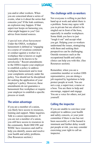

you and/or other workers. When you are concerned about a series of events, what is it about the series that concerns you? If the leak continues, an explosion may happen. If that supervisor keeps on harassing you, what might happen to you? Get advice from trusted sources.

*A special note about harassment:* Under the OSHA, workplace harassment is defined as "engaging in a course of vexatious comment or conduct against a worker in a workplace that is known or ought reasonably to be known to be unwelcome." Recent amendments to the OHSA require your employer to establish a policy to address workplace harassment and to treat your complaints seriously under the policy. You should not be disciplined for seeking the application of your employer's policy. However, these amendments do not guarantee a harassment free workplace or require your employer to establish a specific process or result.

#### **The union advantage**

If you are a member of a union, you likely have access to resources, training and support. Make inquiries. Talk to a union representative. If you are not a member of a union, you still have access to resources in the community. Both OHCOW and WHSC have resources and staff to help you identify, assess and resolve your health and safety problems. (See Resources section.)

#### **The challenge with co-workers**

Not everyone is willing to put their hand up at work and admit there is a problem. Some may agree with you in private but are afraid to be singled out in front of the boss, especially in smaller workplaces. Some think you have to just "tough it out" and accept what you get. Helping your co-workers understand the issues, strategizing with them and seeking their perspectives can be challenging. Outside resources such as the occupational health and safety clinics can help you with this. (See Resources section).

Remember, when you are a committee member or worker OHS representative, you are doing a job required by legislation to help protect people at work. You are not a cop, a supervisor, a nurse or a boss. You are there to help and encourage, support and engage. You are a voice for others, not just yourself.

#### **Calling the inspector**

If you are unable to convince your employer to address your health and safety concern, or your joint committee if there is one has not been successful, or if the hazard is imminent and further delay would put people at risk, you may consider exercising your right to call an inspector.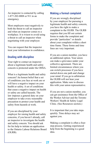

An inspector is contacted by calling 1-877-202-0008 or 911 in an emergency.

Most employers react negatively to both the threat to call an inspector and when an inspector comes to a workplace. It is wisest to avoid using a threat to call an inspector when negotiating with your employer.

You can request that the inspector treat your information in confidence.

#### **Dealing with discipline**

Your right to contact an inspector about a legitimate health and safety concern is protected under the OHSA.

What is a legitimate health and safety concern? An honest belief that a set of conditions you face at work are or will have a negative impact on your health or safety. A set of conditions that cause a negative impact on health or safety are called hazards. The law imposes a general duty on your employer to take every reasonable precaution to protect your health and safety from hazards at work.

If you are disciplined by your employer for raising health and safety concerns, if you haven't already, call an inspector to investigate the health and safety concern. You should ask for his help to initiate an application to the Ontario Labour Relations Board (OLRB).

#### **Making a formal complaint**

If you are wrongly disciplined by your employer for pursuing a legitimate health and safety concern, you have the right to make a complaint to the OLRB. The OLRB requires that you fill out certain forms to make the complaint and provide "particulars" or details about your complaint within a short time frame. These forms and time lines are very important.

If you are a union member, you have an additional option. Your union can make a grievance under your collective agreement. There are limited circumstances where you can switch processes if you have started down one path and change your mind. If you go to arbitration the OLRB will not hear your application. Make sure to discuss this with your union representative.

If you are not a union member, you can get assistance from the Office of the Worker Adviser and the Toronto Workers' Health & Safety Legal Clinic. (See Resources section.)

It is important that you take steps quickly. Time delays may act against you.

Making a complaint is often a fourstep process. Getting experienced help from the beginning is a good idea.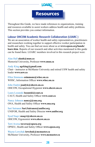## Resources

Throughout this Guide, we have made references to organizations, training and resources available to assist workers address health and safety problems. This section provides you contact information.

#### **Labour OHCOW Academic Research Collaboration (LOARC )**

We are an association of worker health and safety representatives, practitioners and researchers working together to support effective worker participation in health and safety. You can find out more about us at **www.opseu.org/hands/ loarc.htm**. Reports of our research and other activities mentioned in this guide can be found there. LOARC members involved in this research project were:

Alan Hall **alanh@mun.ca** Memorial University, Professor **www.mun.ca**

Andy King **agrking@gmail.com** Chair - instructor at McMaster University and retired USW health and safety leader **www.usw.ca**

Ellen Simmons **esimmons@whsc.on.ca** WHSC, Information Officer **www.whsc.on.ca**

John Oudyk **joudyk@ohcow.on.ca**  OHCOW, Occupational Hygienist **www.ohcow.on.ca**

Laura Lozanski **lozanski@caut.ca**  CAUT, Health and Safety Officer **www.caut.ca**

Nancy Johnson **nancyj@ona.org** ONA, Health and Safety Officer **www.ona.org**

Sari Sairanen **Sari.Sairanen@unifor.org** UNIFOR, Health and Safety Director **www.unifor.org** 

Syed Naqvi **snaqvi@ohcow.on.ca**  OHCOW, Ergonomist **www.ohcow.on.ca**

Terri Aversa **taversa@opseu.org**  OPSEU, Health and Safety Officer **www.opseu.org**

Wayne Lewchuk **lewchuk@mcmaster.ca** McMaster University, Professor **www.mcmaster.ca**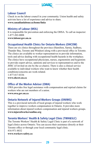

#### **Labour Council**

Check in on the labour council in your community. Union health and safety activists have a lot of experience and advice to share.

#### **www.canadianlabour.ca/home/links**

#### **Ministry of Labour (MOL)**

It is responsible for prevention and enforcing the OHSA. To call an inspector: 1-877-202-0008 **www.labour.gov.on.ca**

#### **Occupational Health Clinics for Ontario Workers (OHCOW)**

There are six clinics throughout the province (Hamilton, Sarnia, Sudbury, Thunder Bay, Toronto and Windsor) along with a provincial office in Toronto. The clinics are available to worker representatives to provide information, tools and advice dealing with occupational health hazards in the workplace. The clinics have occupational physicians, nurses, ergonomists and hygienists to provide expert advice, opinions and services to representatives and to the JHSC (if invited on site by the co-chairs). There is also a clinical service available to individual workers who want to know whether their health conditions/concerns are work-related.

1-877-817-0336

**www.ohcow.on.ca**

#### **Office of the Worker Adviser (OWA)**

OWA provides free legal assistance with compensation and reprisal claims for workers who are not members of a union.

**www.owa.gov.on.ca**

#### **Ontario Network of Injured Workers Groups (ONIWG)**

This is a provincial network of local groups of injured workers who work together to improve workers compensation in Ontario. It provides more information about injured workers compensation and injured workers groups. **www.injuredworkersonline.org**

#### **Toronto Workers' Health & Safety Legal Clinic (TWH&SLC)**

The Toronto Workers' Health & Safety Legal Clinic is part of a network of legal clinics across Ontario. You can access their assistance directly at their Toronto office or through your local community legal clinic. 416-971-8832 **www.workers-safety.ca**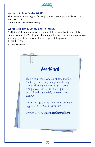

#### **Workers' Action Centre (WAC)**

This centre is organizing for fair employment, decent pay and decent work. 416-531-0778

**www.workersactioncentre.org**

#### **Workers Health & Safety Centre (WHSC)**

As Ontario's labour-endorsed, government-designated health and safety training centre, the WHSC provides training for workers, their representatives and employers from every sector and region of the province. 1-888-869-7950

**www.whsc.on.ca** 

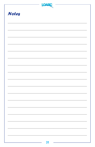| LOA          |  |
|--------------|--|
| <b>Notes</b> |  |
|              |  |
|              |  |
|              |  |
|              |  |
|              |  |
|              |  |
|              |  |
|              |  |
|              |  |
|              |  |
|              |  |
|              |  |
|              |  |
|              |  |
|              |  |
| 31<br>÷,     |  |